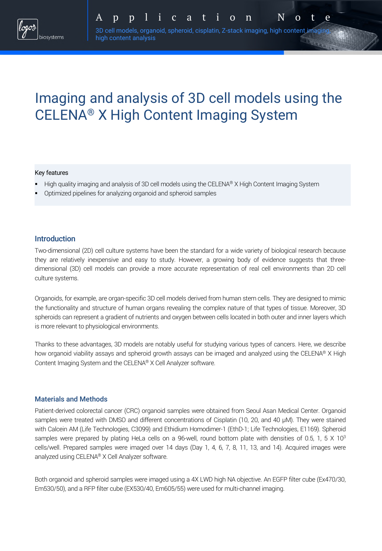# Imaging and analysis of 3D cell models using the CELENA® X High Content Imaging System

#### Key features

- High quality imaging and analysis of 3D cell models using the CELENA® X High Content Imaging System
- § Optimized pipelines for analyzing organoid and spheroid samples

high content analysis

## Introduction

Two-dimensional (2D) cell culture systems have been the standard for a wide variety of biological research because they are relatively inexpensive and easy to study. However, a growing body of evidence suggests that threedimensional (3D) cell models can provide a more accurate representation of real cell environments than 2D cell culture systems.

Organoids, for example, are organ-specific 3D cell models derived from human stem cells. They are designed to mimic the functionality and structure of human organs revealing the complex nature of that types of tissue. Moreover, 3D spheroids can represent a gradient of nutrients and oxygen between cells located in both outer and inner layers which is more relevant to physiological environments.

Thanks to these advantages, 3D models are notably useful for studying various types of cancers. Here, we describe how organoid viability assays and spheroid growth assays can be imaged and analyzed using the CELENA® X High Content Imaging System and the CELENA® X Cell Analyzer software.

#### Materials and Methods

Patient-derived colorectal cancer (CRC) organoid samples were obtained from Seoul Asan Medical Center. Organoid samples were treated with DMSO and different concentrations of Cisplatin (10, 20, and 40 µM). They were stained with Calcein AM (Life Technologies, C3099) and Ethidium Homodimer-1 (EthD-1; Life Technologies, E1169). Spheroid samples were prepared by plating HeLa cells on a 96-well, round bottom plate with densities of 0.5, 1, 5 X 10<sup>3</sup> cells/well. Prepared samples were imaged over 14 days (Day 1, 4, 6, 7, 8, 11, 13, and 14). Acquired images were analyzed using CELENA® X Cell Analyzer software.

Both organoid and spheroid samples were imaged using a 4X LWD high NA objective. An EGFP filter cube (Ex470/30, Em530/50), and a RFP filter cube (EX530/40, Em605/55) were used for multi-channel imaging.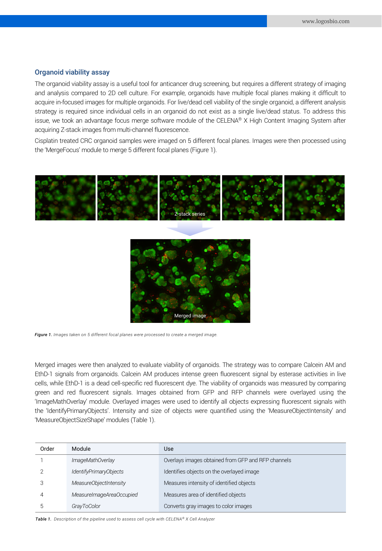### Organoid viability assay

The organoid viability assay is a useful tool for anticancer drug screening, but requires a different strategy of imaging and analysis compared to 2D cell culture. For example, organoids have multiple focal planes making it difficult to acquire in-focused images for multiple organoids. For live/dead cell viability of the single organoid, a different analysis strategy is required since individual cells in an organoid do not exist as a single live/dead status. To address this issue, we took an advantage focus merge software module of the CELENA® X High Content Imaging System after acquiring Z-stack images from multi-channel fluorescence.

Cisplatin treated CRC organoid samples were imaged on 5 different focal planes. Images were then processed using the 'MergeFocus' module to merge 5 different focal planes (Figure 1).





*Figure 1. Images taken on 5 different focal planes were processed to create a merged image.*

Merged images were then analyzed to evaluate viability of organoids. The strategy was to compare Calcein AM and EthD-1 signals from organoids. Calcein AM produces intense green fluorescent signal by esterase activities in live cells, while EthD-1 is a dead cell-specific red fluorescent dye. The viability of organoids was measured by comparing green and red fluorescent signals. Images obtained from GFP and RFP channels were overlayed using the 'ImageMathOverlay' module. Overlayed images were used to identify all objects expressing fluorescent signals with the 'IdentifyPrimaryObjects'. Intensity and size of objects were quantified using the 'MeasureObjectIntensity' and 'MeasureObjectSizeShape' modules (Table 1).

| Order | Module                   | Use                                                |
|-------|--------------------------|----------------------------------------------------|
|       | ImageMathOverlay         | Overlays images obtained from GFP and RFP channels |
|       | IdentifyPrimaryObjects   | Identifies objects on the overlayed image          |
|       | MeasureObjectIntensity   | Measures intensity of identified objects           |
| 4     | MeasureImageAreaOccupied | Measures area of identified objects                |
| .5    | GrayToColor              | Converts gray images to color images               |

*Table 1. Description of the pipeline used to assess cell cycle with CELENA® X Cell Analyzer*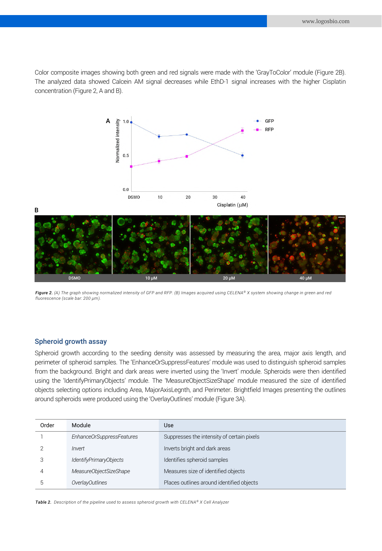Color composite images showing both green and red signals were made with the 'GrayToColor' module (Figure 2B). The analyzed data showed Calcein AM signal decreases while EthD-1 signal increases with the higher Cisplatin concentration (Figure 2, A and B).



*Figure 2. (A) The graph showing normalized intensity of GFP and RFP. (B) Images acquired using CELENA® X system showing change in green and red fluorescence (scale bar: 200 µm).* 

#### Spheroid growth assay

Spheroid growth according to the seeding density was assessed by measuring the area, major axis length, and perimeter of spheroid samples. The 'EnhanceOrSuppressFeatures' module was used to distinguish spheroid samples from the background. Bright and dark areas were inverted using the 'Invert' module. Spheroids were then identified using the 'IdentifyPrimaryObjects' module. The 'MeasureObjectSizeShape' module measured the size of identified objects selecting options including Area, MajorAxisLegnth, and Perimeter. Brightfield Images presenting the outlines around spheroids were produced using the 'OverlayOutlines' module (Figure 3A).

| Order | Module                    | Use                                        |
|-------|---------------------------|--------------------------------------------|
|       | EnhanceOrSuppressFeatures | Suppresses the intensity of certain pixels |
|       | Invert                    | Inverts bright and dark areas              |
|       | IdentifyPrimaryObjects    | Identifies spheroid samples                |
|       | MeasureObjectSizeShape    | Measures size of identified objects        |
|       | OverlayOutlines           | Places outlines around identified objects  |